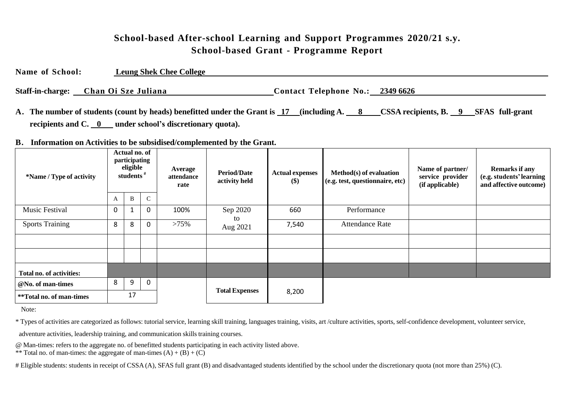### **School-based After-school Learning and Support Programmes 2020/21 s.y. School-based Grant - Programme Report**

**Name of School: Leung Shek Chee College**

**Staff-in-charge:** Chan Oi Sze Juliana **Contact** Telephone No.: 2349 6626

**A. The number of students (count by heads) benefitted under the Grant is 17 (including A. 8 CSSA recipients, B. 9 SFAS full-grant recipients and C. 0 under school's discretionary quota).**

#### **B. Information on Activities to be subsidised/complemented by the Grant.**

| *Name / Type of activity | Actual no. of<br>participating<br>eligible<br>students <sup>#</sup> |              |               | Average<br>attendance<br>rate | <b>Period/Date</b><br>activity held | <b>Actual expenses</b><br>\$) | Method(s) of evaluation<br>(e.g. test, questionnaire, etc) | Name of partner/<br>service provider<br>(if applicable) | <b>Remarks if any</b><br>(e.g. students' learning<br>and affective outcome) |  |
|--------------------------|---------------------------------------------------------------------|--------------|---------------|-------------------------------|-------------------------------------|-------------------------------|------------------------------------------------------------|---------------------------------------------------------|-----------------------------------------------------------------------------|--|
|                          | A                                                                   | $\, {\bf B}$ | $\mathcal{C}$ |                               |                                     |                               |                                                            |                                                         |                                                                             |  |
| <b>Music Festival</b>    | $\Omega$                                                            | $\mathbf{1}$ | 0             | 100%                          | Sep 2020                            | 660                           | Performance                                                |                                                         |                                                                             |  |
| <b>Sports Training</b>   | 8                                                                   | 8            | 0             | >75%                          | to<br>Aug 2021                      | 7,540                         | <b>Attendance Rate</b>                                     |                                                         |                                                                             |  |
|                          |                                                                     |              |               |                               |                                     |                               |                                                            |                                                         |                                                                             |  |
|                          |                                                                     |              |               |                               |                                     |                               |                                                            |                                                         |                                                                             |  |
| Total no. of activities: |                                                                     |              |               |                               |                                     |                               |                                                            |                                                         |                                                                             |  |
| @No. of man-times        | 8                                                                   | 9            | 0             |                               |                                     |                               |                                                            |                                                         |                                                                             |  |
| **Total no. of man-times |                                                                     | 17           |               |                               | <b>Total Expenses</b>               | 8,200                         |                                                            |                                                         |                                                                             |  |

Note:

\* Types of activities are categorized as follows: tutorial service, learning skill training, languages training, visits, art /culture activities, sports, self-confidence development, volunteer service,

adventure activities, leadership training, and communication skills training courses.

@ Man-times: refers to the aggregate no. of benefitted students participating in each activity listed above.

\*\* Total no. of man-times: the aggregate of man-times  $(A) + (B) + (C)$ 

# Eligible students: students in receipt of CSSA (A), SFAS full grant (B) and disadvantaged students identified by the school under the discretionary quota (not more than 25%) (C).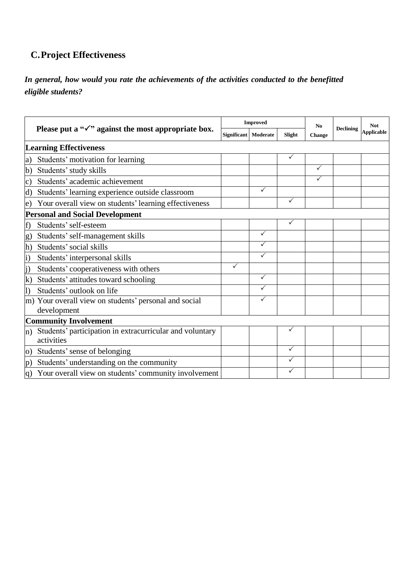# **C.Project Effectiveness**

### *In general, how would you rate the achievements of the activities conducted to the benefitted eligible students?*

|                |                                                                        |                    | <b>Improved</b> |              | No<br><b>Change</b> | <b>Declining</b> | <b>Not</b><br><b>Applicable</b> |
|----------------|------------------------------------------------------------------------|--------------------|-----------------|--------------|---------------------|------------------|---------------------------------|
|                | Please put a " $\checkmark$ " against the most appropriate box.        | <b>Significant</b> | Moderate        | Slight       |                     |                  |                                 |
|                | <b>Learning Effectiveness</b>                                          |                    |                 |              |                     |                  |                                 |
| a)             | Students' motivation for learning                                      |                    |                 | $\checkmark$ |                     |                  |                                 |
| $\mathbf{b}$   | Students' study skills                                                 |                    |                 |              | $\checkmark$        |                  |                                 |
| $\vert c)$     | Students' academic achievement                                         |                    |                 |              | ✓                   |                  |                                 |
| d)             | Students' learning experience outside classroom                        |                    |                 |              |                     |                  |                                 |
| e)             | Your overall view on students' learning effectiveness                  |                    |                 | ✓            |                     |                  |                                 |
|                | <b>Personal and Social Development</b>                                 |                    |                 |              |                     |                  |                                 |
| f)             | Students' self-esteem                                                  |                    |                 | ✓            |                     |                  |                                 |
| g)             | Students' self-management skills                                       |                    | ✓               |              |                     |                  |                                 |
| $\vert h)$     | Students' social skills                                                |                    | ✓               |              |                     |                  |                                 |
| $\vert i)$     | Students' interpersonal skills                                         |                    | $\checkmark$    |              |                     |                  |                                 |
| $\mathbf{j}$   | Students' cooperativeness with others                                  |                    |                 |              |                     |                  |                                 |
| $\bf k)$       | Students' attitudes toward schooling                                   |                    | ✓               |              |                     |                  |                                 |
| l)             | Students' outlook on life                                              |                    |                 |              |                     |                  |                                 |
|                | m) Your overall view on students' personal and social<br>development   |                    | ✓               |              |                     |                  |                                 |
|                | <b>Community Involvement</b>                                           |                    |                 |              |                     |                  |                                 |
| n)             | Students' participation in extracurricular and voluntary<br>activities |                    |                 | ✓            |                     |                  |                                 |
| $\overline{O}$ | Students' sense of belonging                                           |                    |                 | ✓            |                     |                  |                                 |
| p)             | Students' understanding on the community                               |                    |                 | ✓            |                     |                  |                                 |
| q)             | Your overall view on students' community involvement                   |                    |                 |              |                     |                  |                                 |